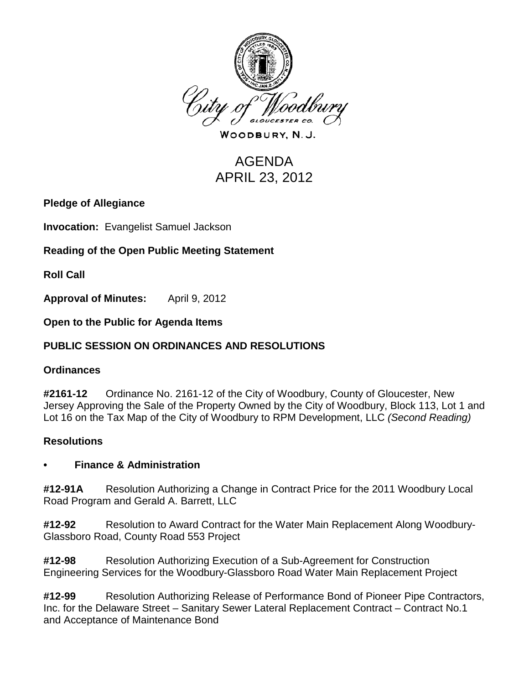

WOODBURY, N.J.

# AGENDA APRIL 23, 2012

## **Pledge of Allegiance**

**Invocation:** Evangelist Samuel Jackson

## **Reading of the Open Public Meeting Statement**

**Roll Call**

**Approval of Minutes:** April 9, 2012

**Open to the Public for Agenda Items**

## **PUBLIC SESSION ON ORDINANCES AND RESOLUTIONS**

## **Ordinances**

**#2161-12** Ordinance No. 2161-12 of the City of Woodbury, County of Gloucester, New Jersey Approving the Sale of the Property Owned by the City of Woodbury, Block 113, Lot 1 and Lot 16 on the Tax Map of the City of Woodbury to RPM Development, LLC *(Second Reading)*

## **Resolutions**

#### **• Finance & Administration**

**#12-91A** Resolution Authorizing a Change in Contract Price for the 2011 Woodbury Local Road Program and Gerald A. Barrett, LLC

**#12-92** Resolution to Award Contract for the Water Main Replacement Along Woodbury-Glassboro Road, County Road 553 Project

**#12-98** Resolution Authorizing Execution of a Sub-Agreement for Construction Engineering Services for the Woodbury-Glassboro Road Water Main Replacement Project

**#12-99** Resolution Authorizing Release of Performance Bond of Pioneer Pipe Contractors, Inc. for the Delaware Street – Sanitary Sewer Lateral Replacement Contract – Contract No.1 and Acceptance of Maintenance Bond